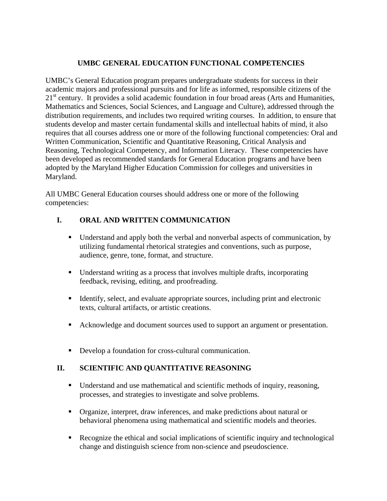#### **UMBC GENERAL EDUCATION FUNCTIONAL COMPETENCIES**

UMBC's General Education program prepares undergraduate students for success in their academic majors and professional pursuits and for life as informed, responsible citizens of the  $21<sup>st</sup>$  century. It provides a solid academic foundation in four broad areas (Arts and Humanities, Mathematics and Sciences, Social Sciences, and Language and Culture), addressed through the distribution requirements, and includes two required writing courses. In addition, to ensure that students develop and master certain fundamental skills and intellectual habits of mind, it also requires that all courses address one or more of the following functional competencies: Oral and Written Communication, Scientific and Quantitative Reasoning, Critical Analysis and Reasoning, Technological Competency, and Information Literacy. These competencies have been developed as recommended standards for General Education programs and have been adopted by the Maryland Higher Education Commission for colleges and universities in Maryland.

All UMBC General Education courses should address one or more of the following competencies:

## **I. ORAL AND WRITTEN COMMUNICATION**

- Understand and apply both the verbal and nonverbal aspects of communication, by utilizing fundamental rhetorical strategies and conventions, such as purpose, audience, genre, tone, format, and structure.
- Understand writing as a process that involves multiple drafts, incorporating feedback, revising, editing, and proofreading.
- Identify, select, and evaluate appropriate sources, including print and electronic texts, cultural artifacts, or artistic creations.
- Acknowledge and document sources used to support an argument or presentation.
- Develop a foundation for cross-cultural communication.

## **II. SCIENTIFIC AND QUANTITATIVE REASONING**

- Understand and use mathematical and scientific methods of inquiry, reasoning, processes, and strategies to investigate and solve problems.
- Organize, interpret, draw inferences, and make predictions about natural or behavioral phenomena using mathematical and scientific models and theories.
- Recognize the ethical and social implications of scientific inquiry and technological change and distinguish science from non-science and pseudoscience.